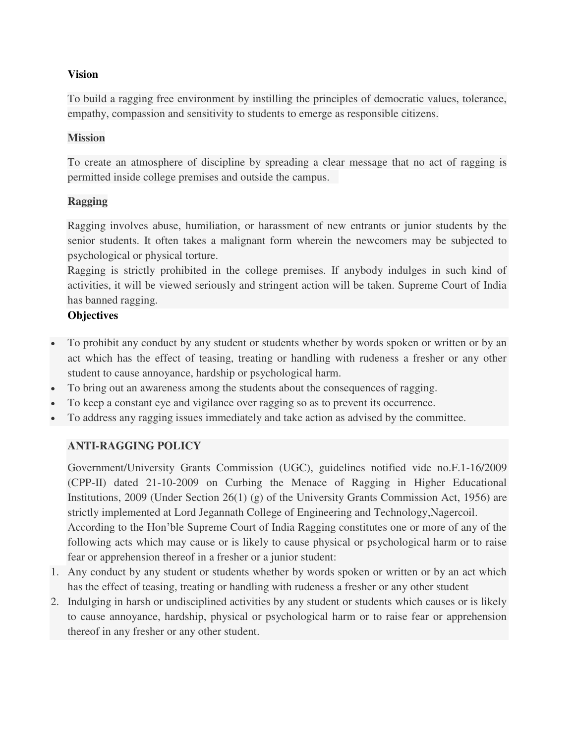## **Vision**

To build a ragging free environment by instilling the principles of democratic values, tolerance, empathy, compassion and sensitivity to students to emerge as responsible citizens.

### **Mission**

To create an atmosphere of discipline by spreading a clear message that no act of ragging is permitted inside college premises and outside the campus.

## **Ragging**

Ragging involves abuse, humiliation, or harassment of new entrants or junior students by the senior students. It often takes a malignant form wherein the newcomers may be subjected to psychological or physical torture.

Ragging is strictly prohibited in the college premises. If anybody indulges in such kind of activities, it will be viewed seriously and stringent action will be taken. Supreme Court of India has banned ragging.

### **Objectives**

- To prohibit any conduct by any student or students whether by words spoken or written or by an act which has the effect of teasing, treating or handling with rudeness a fresher or any other student to cause annoyance, hardship or psychological harm.
- To bring out an awareness among the students about the consequences of ragging.
- To keep a constant eye and vigilance over ragging so as to prevent its occurrence.
- To address any ragging issues immediately and take action as advised by the committee.

## **ANTI-RAGGING POLICY**

Government/University Grants Commission (UGC), guidelines notified vide no.F.1-16/2009 (CPP-II) dated 21-10-2009 on Curbing the Menace of Ragging in Higher Educational Institutions, 2009 (Under Section 26(1) (g) of the University Grants Commission Act, 1956) are strictly implemented at Lord Jegannath College of Engineering and Technology,Nagercoil.

According to the Hon'ble Supreme Court of India Ragging constitutes one or more of any of the following acts which may cause or is likely to cause physical or psychological harm or to raise fear or apprehension thereof in a fresher or a junior student:

- 1. Any conduct by any student or students whether by words spoken or written or by an act which has the effect of teasing, treating or handling with rudeness a fresher or any other student
- 2. Indulging in harsh or undisciplined activities by any student or students which causes or is likely to cause annoyance, hardship, physical or psychological harm or to raise fear or apprehension thereof in any fresher or any other student.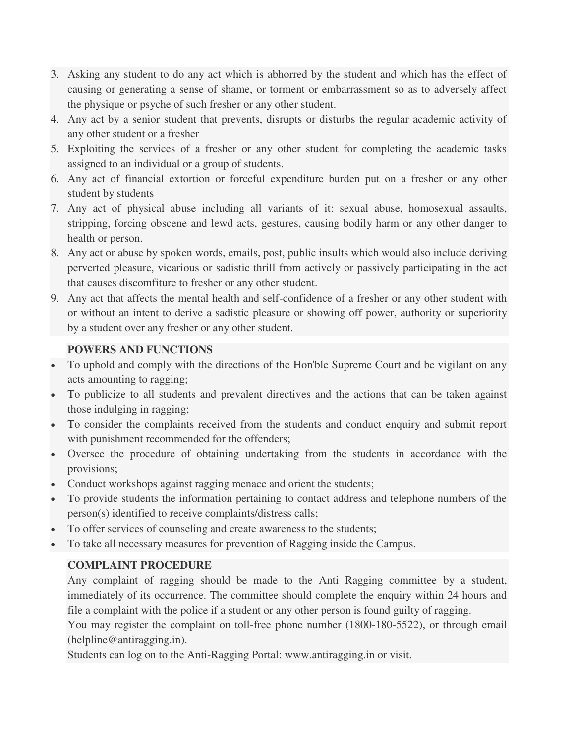- 3. Asking any student to do any act which is abhorred by the student and which has the effect of causing or generating a sense of shame, or torment or embarrassment so as to adversely affect the physique or psyche of such fresher or any other student.
- 4. Any act by a senior student that prevents, disrupts or disturbs the regular academic activity of any other student or a fresher
- 5. Exploiting the services of a fresher or any other student for completing the academic tasks assigned to an individual or a group of students.
- 6. Any act of financial extortion or forceful expenditure burden put on a fresher or any other student by students
- 7. Any act of physical abuse including all variants of it: sexual abuse, homosexual assaults, stripping, forcing obscene and lewd acts, gestures, causing bodily harm or any other danger to health or person.
- 8. Any act or abuse by spoken words, emails, post, public insults which would also include deriving perverted pleasure, vicarious or sadistic thrill from actively or passively participating in the act that causes discomfiture to fresher or any other student.
- 9. Any act that affects the mental health and self-confidence of a fresher or any other student with or without an intent to derive a sadistic pleasure or showing off power, authority or superiority by a student over any fresher or any other student.

# **POWERS AND FUNCTIONS**

- To uphold and comply with the directions of the Hon'ble Supreme Court and be vigilant on any acts amounting to ragging;
- To publicize to all students and prevalent directives and the actions that can be taken against those indulging in ragging;
- To consider the complaints received from the students and conduct enquiry and submit report with punishment recommended for the offenders;
- Oversee the procedure of obtaining undertaking from the students in accordance with the provisions;
- Conduct workshops against ragging menace and orient the students;
- To provide students the information pertaining to contact address and telephone numbers of the person(s) identified to receive complaints/distress calls;
- To offer services of counseling and create awareness to the students;
- To take all necessary measures for prevention of Ragging inside the Campus.

# **COMPLAINT PROCEDURE**

Any complaint of ragging should be made to the Anti Ragging committee by a student, immediately of its occurrence. The committee should complete the enquiry within 24 hours and file a complaint with the police if a student or any other person is found guilty of ragging.

You may register the complaint on toll-free phone number (1800-180-5522), or through email (helpline@antiragging.in).

Students can log on to the Anti-Ragging Portal: www.antiragging.in or visit.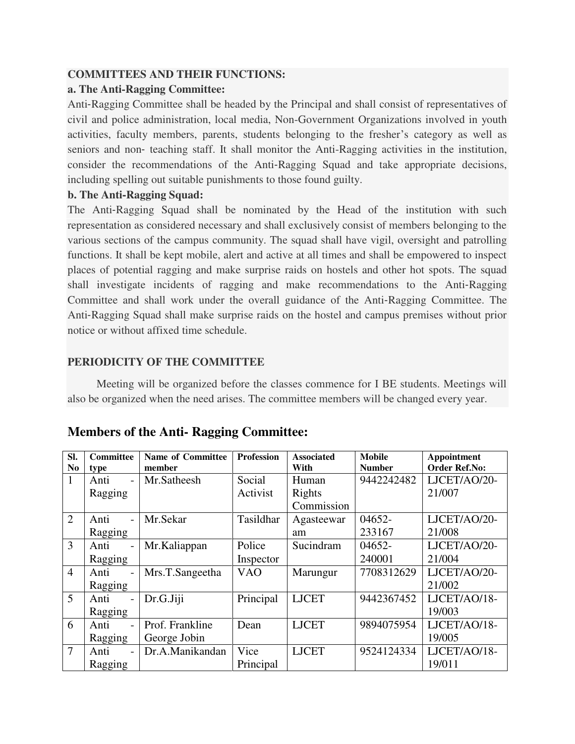## **COMMITTEES AND THEIR FUNCTIONS:**

### **a. The Anti**‐**Ragging Committee:**

Anti-Ragging Committee shall be headed by the Principal and shall consist of representatives of civil and police administration, local media, Non-Government Organizations involved in youth activities, faculty members, parents, students belonging to the fresher's category as well as seniors and non-teaching staff. It shall monitor the Anti-Ragging activities in the institution, consider the recommendations of the Anti-Ragging Squad and take appropriate decisions, including spelling out suitable punishments to those found guilty.

### **b. The Anti**‐**Ragging Squad:**

The Anti-Ragging Squad shall be nominated by the Head of the institution with such representation as considered necessary and shall exclusively consist of members belonging to the various sections of the campus community. The squad shall have vigil, oversight and patrolling functions. It shall be kept mobile, alert and active at all times and shall be empowered to inspect places of potential ragging and make surprise raids on hostels and other hot spots. The squad shall investigate incidents of ragging and make recommendations to the Anti‐Ragging Committee and shall work under the overall guidance of the Anti‐Ragging Committee. The Anti-Ragging Squad shall make surprise raids on the hostel and campus premises without prior notice or without affixed time schedule.

## **PERIODICITY OF THE COMMITTEE**

 Meeting will be organized before the classes commence for I BE students. Meetings will also be organized when the need arises. The committee members will be changed every year.

| Sl.<br>N <sub>0</sub> | Committee<br>type | <b>Name of Committee</b><br>member | <b>Profession</b> | <b>Associated</b><br>With | <b>Mobile</b><br><b>Number</b> | Appointment<br><b>Order Ref.No:</b> |
|-----------------------|-------------------|------------------------------------|-------------------|---------------------------|--------------------------------|-------------------------------------|
| 1                     | Anti              | Mr.Satheesh                        | Social            | Human                     | 9442242482                     | LJCET/AO/20-                        |
|                       | Ragging           |                                    | Activist          | Rights                    |                                | 21/007                              |
|                       |                   |                                    |                   | Commission                |                                |                                     |
| $\overline{2}$        | Anti              | Mr.Sekar                           | Tasildhar         | Agasteewar                | 04652-                         | LJCET/AO/20-                        |
|                       | Ragging           |                                    |                   | am                        | 233167                         | 21/008                              |
| 3                     | Anti              | Mr.Kaliappan                       | Police            | Sucindram                 | 04652-                         | LJCET/AO/20-                        |
|                       | Ragging           |                                    | Inspector         |                           | 240001                         | 21/004                              |
| $\overline{4}$        | Anti              | Mrs.T.Sangeetha                    | <b>VAO</b>        | Marungur                  | 7708312629                     | LJCET/AO/20-                        |
|                       | Ragging           |                                    |                   |                           |                                | 21/002                              |
| 5                     | Anti              | Dr.G.Jiji                          | Principal         | <b>LJCET</b>              | 9442367452                     | LJCET/AO/18-                        |
|                       | Ragging           |                                    |                   |                           |                                | 19/003                              |
| 6                     | Anti              | Prof. Frankline                    | Dean              | <b>LJCET</b>              | 9894075954                     | LJCET/AO/18-                        |
|                       | Ragging           | George Jobin                       |                   |                           |                                | 19/005                              |
| $\overline{7}$        | Anti              | Dr.A.Manikandan                    | Vice              | <b>LJCET</b>              | 9524124334                     | LJCET/AO/18-                        |
|                       | Ragging           |                                    | Principal         |                           |                                | 19/011                              |

# **Members of the Anti- Ragging Committee:**